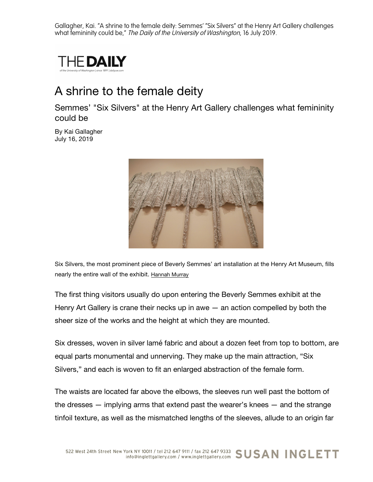Gallagher, Kai. "A shrine to the female deity: Semmes' "Six Silvers" at the Henry Art Gallery challenges what femininity could be," The Daily of the University of Washington, 16 July 2019.



## A shrine to the female deity

Semmes' "Six Silvers" at the Henry Art Gallery challenges what femininity could be

By Kai Gallagher July 16, 2019



Six Silvers, the most prominent piece of Beverly Semmes' art installation at the Henry Art Museum, fills nearly the entire wall of the exhibit. Hannah Murray

The first thing visitors usually do upon entering the Beverly Semmes exhibit at the Henry Art Gallery is crane their necks up in awe  $-$  an action compelled by both the sheer size of the works and the height at which they are mounted.

Six dresses, woven in silver lamé fabric and about a dozen feet from top to bottom, are equal parts monumental and unnerving. They make up the main attraction, "Six Silvers," and each is woven to fit an enlarged abstraction of the female form.

The waists are located far above the elbows, the sleeves run well past the bottom of the dresses — implying arms that extend past the wearer's knees — and the strange tinfoil texture, as well as the mismatched lengths of the sleeves, allude to an origin far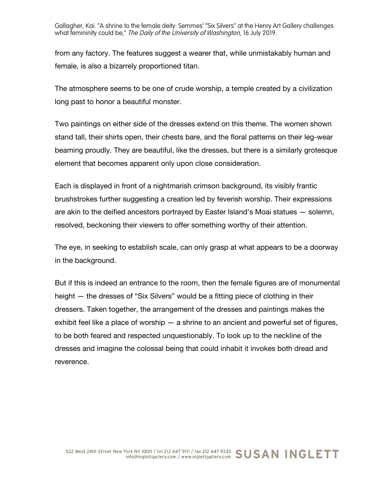Gallagher, Kai. "A shrine to the female deity: Semmes' "Six Silvers" at the Henry Art Gallery challenges what femininity could be," The Daily of the University of Washington, 16 July 2019.

from any factory. The features suggest a wearer that, while unmistakably human and female, is also a bizarrely proportioned titan.

The atmosphere seems to be one of crude worship, a temple created by a civilization long past to honor a beautiful monster.

Two paintings on either side of the dresses extend on this theme. The women shown stand tall, their shirts open, their chests bare, and the floral patterns on their leg-wear beaming proudly. They are beautiful, like the dresses, but there is a similarly grotesque element that becomes apparent only upon close consideration.

Each is displayed in front of a nightmarish crimson background, its visibly frantic brushstrokes further suggesting a creation led by feverish worship. Their expressions are akin to the deified ancestors portrayed by Easter Island's Moai statues — solemn, resolved, beckoning their viewers to offer something worthy of their attention.

The eye, in seeking to establish scale, can only grasp at what appears to be a doorway in the background.

But if this is indeed an entrance to the room, then the female figures are of monumental height — the dresses of "Six Silvers" would be a fitting piece of clothing in their dressers. Taken together, the arrangement of the dresses and paintings makes the exhibit feel like a place of worship  $-$  a shrine to an ancient and powerful set of figures, to be both feared and respected unquestionably. To look up to the neckline of the dresses and imagine the colossal being that could inhabit it invokes both dread and reverence.